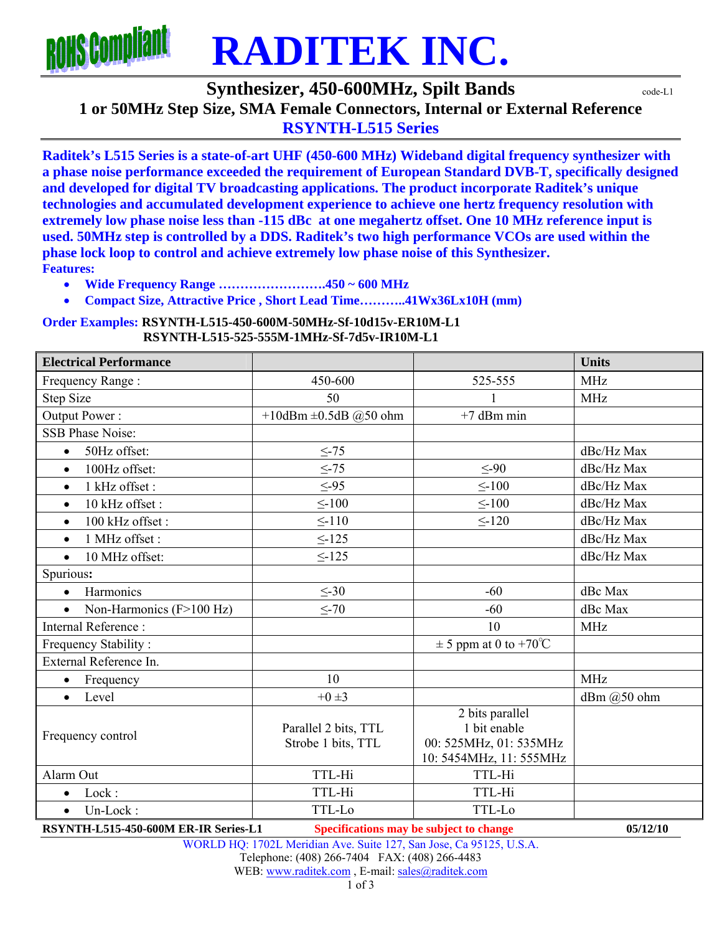

**Synthesizer, 450-600MHz, Spilt Bands**  $\text{code-L1}$ 

**1 or 50MHz Step Size, SMA Female Connectors, Internal or External Reference** 

**RSYNTH-L515 Series** 

**Raditek's L515 Series is a state-of-art UHF (450-600 MHz) Wideband digital frequency synthesizer with a phase noise performance exceeded the requirement of European Standard DVB-T, specifically designed and developed for digital TV broadcasting applications. The product incorporate Raditek's unique technologies and accumulated development experience to achieve one hertz frequency resolution with extremely low phase noise less than -115 dBc at one megahertz offset. One 10 MHz reference input is used. 50MHz step is controlled by a DDS. Raditek's two high performance VCOs are used within the phase lock loop to control and achieve extremely low phase noise of this Synthesizer. Features:** 

**Wide Frequency Range …………………….450 ~ 600 MHz** 

**Compact Size, Attractive Price , Short Lead Time………..41Wx36Lx10H (mm)** 

**Order Examples: RSYNTH-L515-450-600M-50MHz-Sf-10d15v-ER10M-L1 RSYNTH-L515-525-555M-1MHz-Sf-7d5v-IR10M-L1** 

| <b>Electrical Performance</b>         |                                            |                                                                                      | <b>Units</b> |
|---------------------------------------|--------------------------------------------|--------------------------------------------------------------------------------------|--------------|
| Frequency Range:                      | 450-600                                    | 525-555                                                                              | <b>MHz</b>   |
| <b>Step Size</b>                      | 50                                         |                                                                                      | <b>MHz</b>   |
| Output Power:                         | +10dBm $\pm$ 0.5dB @50 ohm                 | $+7$ dBm min                                                                         |              |
| <b>SSB Phase Noise:</b>               |                                            |                                                                                      |              |
| 50Hz offset:<br>$\bullet$             | $\leq -75$                                 |                                                                                      | dBc/Hz Max   |
| 100Hz offset:<br>$\bullet$            | $\leq$ -75                                 | $\leq$ -90                                                                           | dBc/Hz Max   |
| 1 kHz offset:<br>$\bullet$            | $\leq -95$                                 | $\leq$ -100                                                                          | dBc/Hz Max   |
| 10 kHz offset:<br>$\bullet$           | $\leq$ -100                                | $\leq$ -100                                                                          | dBc/Hz Max   |
| 100 kHz offset:<br>$\bullet$          | $\leq$ -110                                | $\leq$ -120                                                                          | dBc/Hz Max   |
| 1 MHz offset:<br>$\bullet$            | $\leq$ -125                                |                                                                                      | dBc/Hz Max   |
| 10 MHz offset:<br>$\bullet$           | $\leq -125$                                |                                                                                      | dBc/Hz Max   |
| Spurious:                             |                                            |                                                                                      |              |
| Harmonics<br>$\bullet$                | $\leq$ -30                                 | $-60$                                                                                | dBc Max      |
| Non-Harmonics (F>100 Hz)<br>$\bullet$ | $\leq$ -70                                 | $-60$                                                                                | dBc Max      |
| Internal Reference:                   |                                            | 10                                                                                   | <b>MHz</b>   |
| Frequency Stability:                  |                                            | $\pm$ 5 ppm at 0 to +70°C                                                            |              |
| External Reference In.                |                                            |                                                                                      |              |
| Frequency<br>$\bullet$                | 10                                         |                                                                                      | <b>MHz</b>   |
| Level<br>$\bullet$                    | $+0\pm3$                                   |                                                                                      | dBm @50 ohm  |
| Frequency control                     | Parallel 2 bits, TTL<br>Strobe 1 bits, TTL | 2 bits parallel<br>1 bit enable<br>00: 525MHz, 01: 535MHz<br>10: 5454MHz, 11: 555MHz |              |
| Alarm Out                             | TTL-Hi                                     | TTL-Hi                                                                               |              |
| Lock:<br>$\bullet$                    | TTL-Hi                                     | TTL-Hi                                                                               |              |
| Un-Lock:<br>$\bullet$                 | TTL-Lo                                     | TTL-Lo                                                                               |              |

**RSYNTH-L515-450-600M ER-IR Series-L1 Specifications may be subject to change 05/12/10**

WORLD HQ: 1702L Meridian Ave. Suite 127, San Jose, Ca 95125, U.S.A.

Telephone: (408) 266-7404 FAX: (408) 266-4483

WEB: www.raditek.com, E-mail: sales@raditek.com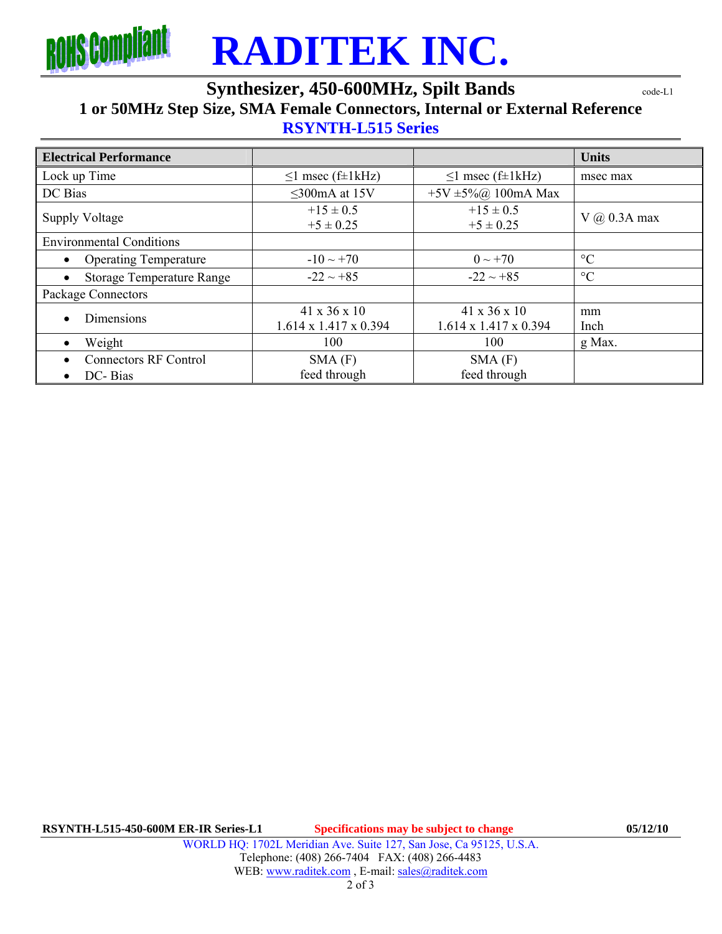

## **RADITEK INC.**

### **Synthesizer, 450-600MHz, Spilt Bands code-L1**

### **1 or 50MHz Step Size, SMA Female Connectors, Internal or External Reference**

#### **RSYNTH-L515 Series**

| <b>Electrical Performance</b>                        |                                                   |                                                   | <b>Units</b>     |
|------------------------------------------------------|---------------------------------------------------|---------------------------------------------------|------------------|
| Lock up Time                                         | $\leq$ 1 msec (f±1kHz)                            | $\leq$ 1 msec (f±1kHz)                            | msec max         |
| DC Bias                                              | $\leq$ 300mA at 15V                               | +5V ±5%@ 100mA Max                                |                  |
| <b>Supply Voltage</b>                                | $+15 \pm 0.5$<br>$+5 \pm 0.25$                    | $+15 \pm 0.5$<br>$+5 \pm 0.25$                    | $V$ (a) 0.3A max |
| <b>Environmental Conditions</b>                      |                                                   |                                                   |                  |
| <b>Operating Temperature</b><br>$\bullet$            | $-10 \sim +70$                                    | $0 \sim +70$                                      | $\rm ^{\circ}C$  |
| <b>Storage Temperature Range</b><br>$\bullet$        | $-22 \sim +85$                                    | $-22 \sim +85$                                    | $\rm ^{\circ}C$  |
| Package Connectors                                   |                                                   |                                                   |                  |
| Dimensions<br>$\bullet$                              | 41 x 36 x 10<br>$1.614 \times 1.417 \times 0.394$ | 41 x 36 x 10<br>$1.614 \times 1.417 \times 0.394$ | mm<br>Inch       |
| Weight<br>$\bullet$                                  | 100                                               | 100                                               | g Max.           |
| <b>Connectors RF Control</b><br>DC-Bias<br>$\bullet$ | SMA(F)<br>feed through                            | SMA(F)<br>feed through                            |                  |